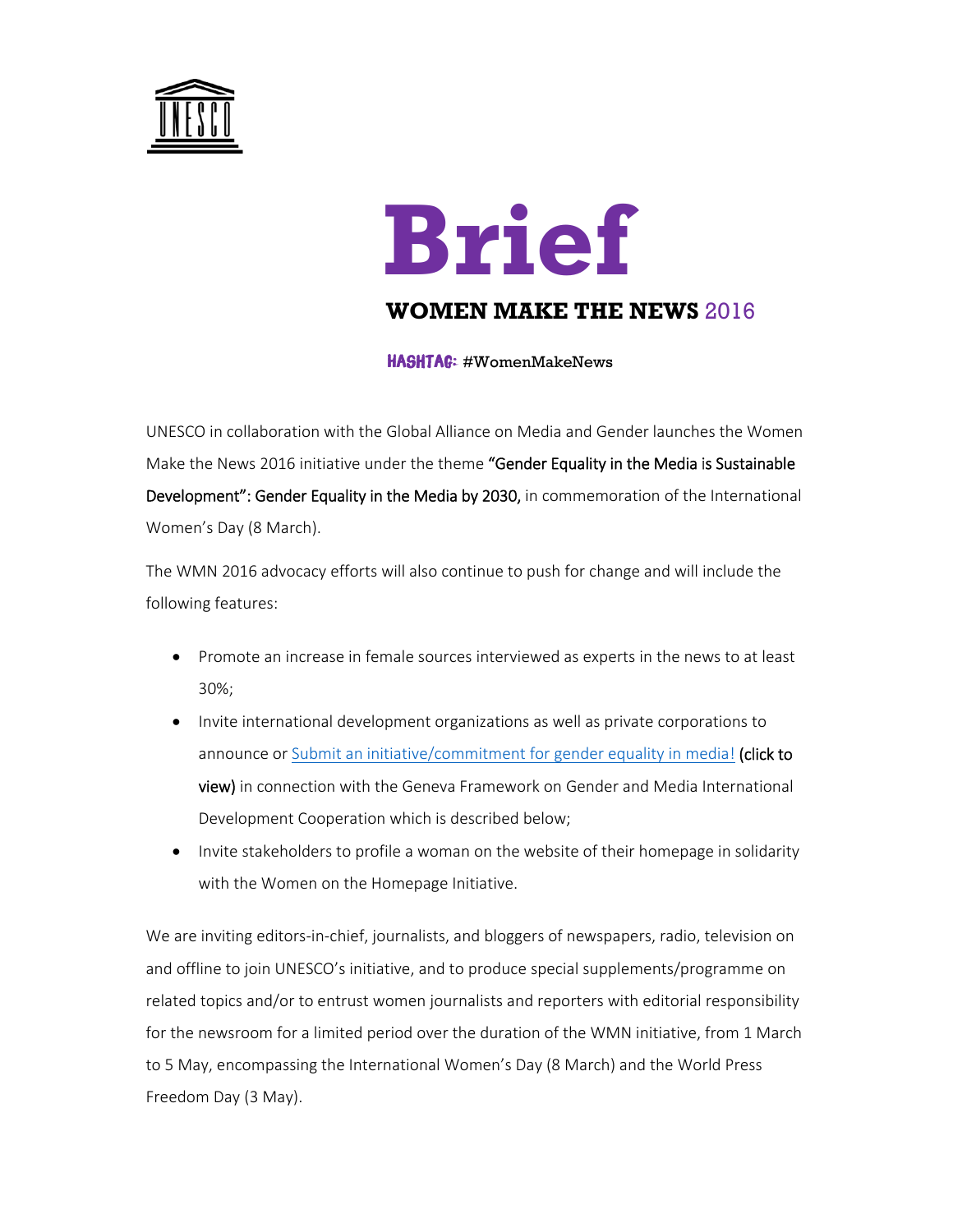

## **Brief**

## **WOMEN MAKE THE NEWS** 2016

HASHTAG: #WomenMakeNews

UNESCO in collaboration with the Global Alliance on Media and Gender launches the Women Make the News 2016 initiative under the theme "Gender Equality in the Media is Sustainable Development": Gender Equality in the Media by 2030, in commemoration of the International Women's Day (8 March).

The WMN 2016 advocacy efforts will also continue to push for change and will include the following features:

- Promote an increase in female sources interviewed as experts in the news to at least 30%;
- Invite international development organizations as well as private corporations to announce or Submit an initiative/commitment for gender equality in media! (click to view) in connection with the Geneva Framework on Gender and Media International Development Cooperation which is described below;
- Invite stakeholders to profile a woman on the website of their homepage in solidarity with the Women on the Homepage Initiative.

We are inviting editors-in-chief, journalists, and bloggers of newspapers, radio, television on and offline to join UNESCO's initiative, and to produce special supplements/programme on related topics and/or to entrust women journalists and reporters with editorial responsibility for the newsroom for a limited period over the duration of the WMN initiative, from 1 March to 5 May, encompassing the International Women's Day (8 March) and the World Press Freedom Day (3 May).